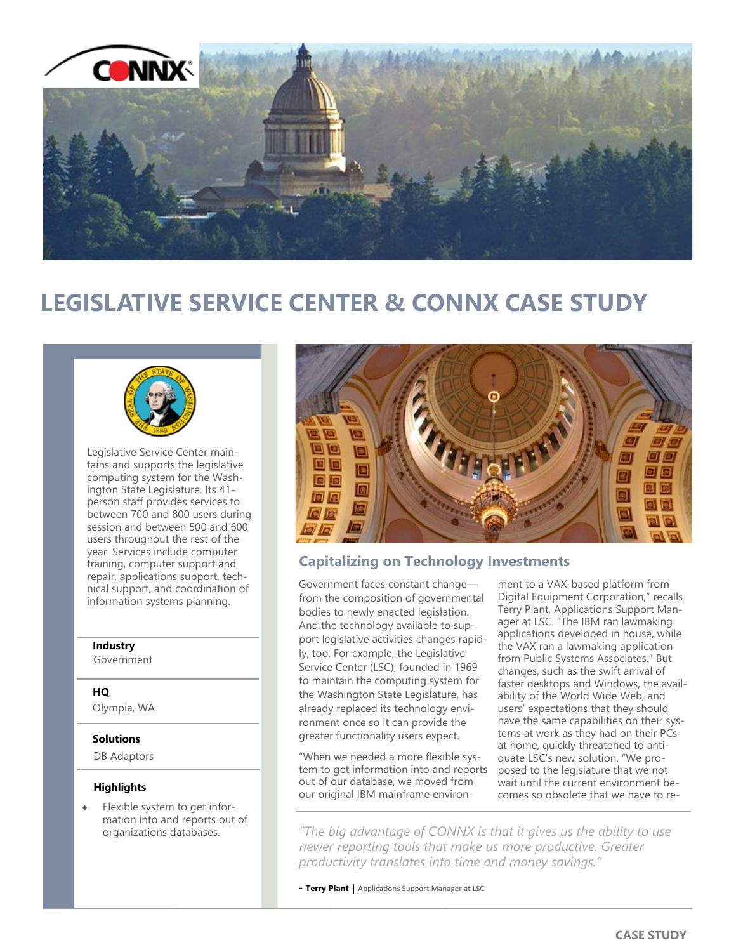

# **LEGISLATIVE SERVICE CENTER & CONNX CASE STUDY**



Legislative Service Center maintains and supports the legislative computing system for the Washington State Legislature. Its 41 person staff provides services to between 700 and 800 users during session and between 500 and 600 users throughout the rest of the year. Services include computer training, computer support and repair, applications support, technical support, and coordination of information systems planning.

#### **Industry**

Government

#### **HQ**

Olympia, WA

### **Solutions**

DB Adaptors

### **Highlights**

 Flexible system to get information into and reports out of organizations databases.



## **Capitalizing on Technology Investments**

Government faces constant change from the composition of governmental bodies to newly enacted legislation. And the technology available to support legislative activities changes rapidly, too. For example, the Legislative Service Center (LSC), founded in 1969 to maintain the computing system for the Washington State Legislature, has already replaced its technology environment once so it can provide the greater functionality users expect.

"When we needed a more flexible system to get information into and reports out of our database, we moved from our original IBM mainframe environ-

ment to a VAX-based platform from Digital Equipment Corporation," recalls Terry Plant, Applications Support Manager at LSC. "The IBM ran lawmaking applications developed in house, while the VAX ran a lawmaking application from Public Systems Associates." But changes, such as the swift arrival of faster desktops and Windows, the availability of the World Wide Web, and users' expectations that they should have the same capabilities on their systems at work as they had on their PCs at home, quickly threatened to antiquate LSC's new solution. "We proposed to the legislature that we not wait until the current environment becomes so obsolete that we have to re-

*"The big advantage of CONNX is that it gives us the ability to use newer reporting tools that make us more productive. Greater productivity translates into time and money savings."*

- Terry Plant | Applications Support Manager at LSC